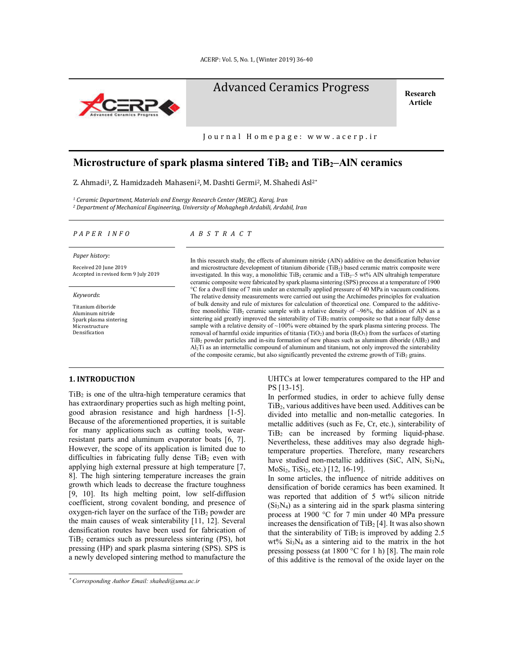

# Advanced Ceramics Progress Research

**Article**

Journal Homepage: www.acerp.ir

## **Microstructure of spark plasma sintered TiB2 and TiB2–AlN ceramics**

Z. Ahmadi<sup>1</sup>, Z. Hamidzadeh Mahaseni<sup>2</sup>, M. Dashti Germi<sup>2</sup>, M. Shahedi Asl<sup>2\*</sup>

*<sup>1</sup> Ceramic Department, Materials and Energy Research Center (MERC), Karaj, Iran <sup>2</sup> Department of Mechanical Engineering, University of Mohaghegh Ardabili, Ardabil, Iran*

#### *P A P E R I N F O A B S T R A C T*

*Paper history:*

Received 20 June 2019 Accepted in revised form 9 July 2019

*Keywords*:

Titanium diboride Aluminum nitride Spark plasma sintering Microstructure Densification

and microstructure development of titanium diboride (TiB<sub>2</sub>) based ceramic matrix composite were investigated. In this way, a monolithic TiB<sub>2</sub> ceramic and a TiB<sub>2</sub>–5 wt% AlN ultrahigh temperature ceramic composite were fabricated by spark plasma sintering (SPS) process at a temperature of 1900 °C for a dwell time of 7 min under an externally applied pressure of 40 MPa in vacuum conditions. The relative density measurements were carried out using the Archimedes principles for evaluation of bulk density and rule of mixtures for calculation of theoretical one. Compared to the additivefree monolithic TiB<sub>2</sub> ceramic sample with a relative density of  $\sim$ 96%, the addition of AlN as a sintering aid greatly improved the sinterability of TiB<sub>2</sub> matrix composite so that a near fully dense sample with a relative density of  $\sim$ 100% were obtained by the spark plasma sintering process. The removal of harmful oxide impurities of titania (TiO<sub>2</sub>) and boria (B<sub>2</sub>O<sub>3</sub>) from the surfaces of starting  $TiB<sub>2</sub>$  powder particles and in-situ formation of new phases such as aluminum diboride (AlB<sub>2</sub>) and Al2Ti as an intermetallic compound of aluminum and titanium, not only improved the sinterability of the composite ceramic, but also significantly prevented the extreme growth of  $TiB<sub>2</sub>$  grains.

In this research study, the effects of aluminum nitride (AlN) additive on the densification behavior

#### **1. INTRODUCTION\***

 $TiB<sub>2</sub>$  is one of the ultra-high temperature ceramics that has extraordinary properties such as high melting point, good abrasion resistance and high hardness [1-5]. Because of the aforementioned properties, it is suitable for many applications such as cutting tools, wearresistant parts and aluminum evaporator boats [6, 7]. However, the scope of its application is limited due to difficulties in fabricating fully dense  $TiB<sub>2</sub>$  even with applying high external pressure at high temperature [7, 8]. The high sintering temperature increases the grain growth which leads to decrease the fracture toughness [9, 10]. Its high melting point, low self-diffusion coefficient, strong covalent bonding, and presence of  $oxygen-rich layer on the surface of the TiB<sub>2</sub> powder are$ the main causes of weak sinterability [11, 12]. Several densification routes have been used for fabrication of  $TiB<sub>2</sub>$  ceramics such as pressureless sintering (PS), hot pressing (HP) and spark plasma sintering (SPS). SPS is a newly developed sintering method to manufacture the

<u>.</u>

UHTCs at lower temperatures compared to the HP and PS [13-15].

In performed studies, in order to achieve fully dense TiB2, various additives have been used. Additives can be divided into metallic and non-metallic categories. In metallic additives (such as Fe, Cr, etc.), sinterability of TiB2 can be increased by forming liquid-phase. Nevertheless, these additives may also degrade hightemperature properties. Therefore, many researchers have studied non-metallic additives (SiC, AlN,  $Si<sub>3</sub>N<sub>4</sub>$ , MoSi<sub>2</sub>, TiSi<sub>2</sub>, etc.) [12, 16-19].

In some articles, the influence of nitride additives on densification of boride ceramics has been examined. It was reported that addition of 5 wt% silicon nitride  $(Si<sub>3</sub>N<sub>4</sub>)$  as a sintering aid in the spark plasma sintering process at 1900 °C for 7 min under 40 MPa pressure increases the densification of TiB2 [4]. It was also shown that the sinterability of  $TiB<sub>2</sub>$  is improved by adding 2.5 wt% Si3N4 as a sintering aid to the matrix in the hot pressing possess (at 1800 °C for 1 h) [8]. The main role of this additive is the removal of the oxide layer on the

<sup>\*</sup> *Corresponding Author Email: shahedi@uma.ac.ir*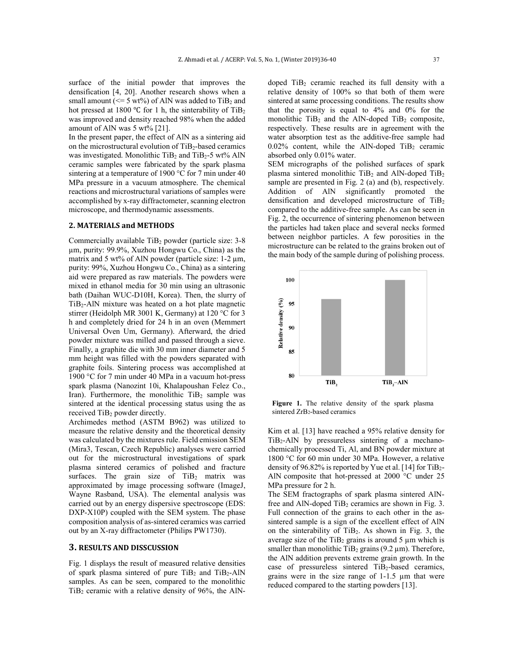surface of the initial powder that improves the densification [4, 20]. Another research shows when a small amount ( $\leq$  5 wt%) of AlN was added to TiB<sub>2</sub> and hot pressed at 1800 °C for 1 h, the sinterability of TiB2 was improved and density reached 98% when the added amount of AlN was 5 wt% [21].

In the present paper, the effect of AlN as a sintering aid on the microstructural evolution of TiB<sub>2</sub>-based ceramics was investigated. Monolithic  $TiB<sub>2</sub>$  and  $TiB<sub>2</sub>$ -5 wt% AlN ceramic samples were fabricated by the spark plasma sintering at a temperature of 1900 °C for 7 min under 40 MPa pressure in a vacuum atmosphere. The chemical reactions and microstructural variations of samples were accomplished by x-ray diffractometer, scanning electron microscope, and thermodynamic assessments.

#### **2. MATERIALS and METHODS**

Commercially available  $TiB<sub>2</sub>$  powder (particle size: 3-8) µm, purity: 99.9%, Xuzhou Hongwu Co., China) as the matrix and 5 wt% of AlN powder (particle size: 1-2 µm, purity: 99%, Xuzhou Hongwu Co., China) as a sintering aid were prepared as raw materials. The powders were mixed in ethanol media for 30 min using an ultrasonic bath (Daihan WUC-D10H, Korea). Then, the slurry of TiB2-AlN mixture was heated on a hot plate magnetic stirrer (Heidolph MR 3001 K, Germany) at 120 °C for 3 h and completely dried for 24 h in an oven (Memmert Universal Oven Um, Germany). Afterward, the dried powder mixture was milled and passed through a sieve. Finally, a graphite die with 30 mm inner diameter and 5 mm height was filled with the powders separated with graphite foils. Sintering process was accomplished at 1900 °C for 7 min under 40 MPa in a vacuum hot-press spark plasma (Nanozint 10i, Khalapoushan Felez Co., Iran). Furthermore, the monolithic  $TiB<sub>2</sub>$  sample was sintered at the identical processing status using the as received TiB<sub>2</sub> powder directly.

Archimedes method (ASTM B962) was utilized to measure the relative density and the theoretical density was calculated by the mixtures rule. Field emission SEM (Mira3, Tescan, Czech Republic) analyses were carried out for the microstructural investigations of spark plasma sintered ceramics of polished and fracture surfaces. The grain size of  $TiB<sub>2</sub>$  matrix was approximated by image processing software (ImageJ, Wayne Rasband, USA). The elemental analysis was carried out by an energy dispersive spectroscope (EDS: DXP-X10P) coupled with the SEM system. The phase composition analysis of as-sintered ceramics was carried out by an X-ray diffractometer (Philips PW1730).

#### **3. RESULTS AND DISSCUSSION**

Fig. 1 displays the result of measured relative densities of spark plasma sintered of pure TiB<sub>2</sub> and TiB<sub>2</sub>-AlN samples. As can be seen, compared to the monolithic  $TiB<sub>2</sub>$  ceramic with a relative density of 96%, the AlN-

doped TiB<sub>2</sub> ceramic reached its full density with a relative density of 100% so that both of them were sintered at same processing conditions. The results show that the porosity is equal to 4% and 0% for the monolithic  $TiB<sub>2</sub>$  and the AlN-doped  $TiB<sub>2</sub>$  composite, respectively. These results are in agreement with the water absorption test as the additive-free sample had  $0.02\%$  content, while the AlN-doped TiB<sub>2</sub> ceramic absorbed only 0.01% water.

SEM micrographs of the polished surfaces of spark plasma sintered monolithic  $TiB<sub>2</sub>$  and AlN-doped  $TiB<sub>2</sub>$ sample are presented in Fig. 2 (a) and (b), respectively. Addition of AlN significantly promoted the densification and developed microstructure of  $TiB<sub>2</sub>$ compared to the additive-free sample. As can be seen in Fig. 2, the occurrence of sintering phenomenon between the particles had taken place and several necks formed between neighbor particles. A few porosities in the microstructure can be related to the grains broken out of the main body of the sample during of polishing process.



**Figure 1.** The relative density of the spark plasma sintered ZrB<sub>2</sub>-based ceramics

Kim et al. [13] have reached a 95% relative density for  $TiB<sub>2</sub>$ -AlN by pressureless sintering of a mechanochemically processed Ti, Al, and BN powder mixture at 1800 °C for 60 min under 30 MPa. However, a relative density of 96.82% is reported by Yue et al. [14] for TiB2- AlN composite that hot-pressed at 2000 °C under 25 MPa pressure for 2 h.

The SEM fractographs of spark plasma sintered AlNfree and AlN-doped  $TiB<sub>2</sub>$  ceramics are shown in Fig. 3. Full connection of the grains to each other in the assintered sample is a sign of the excellent effect of AlN on the sinterability of  $TiB<sub>2</sub>$ . As shown in Fig. 3, the average size of the  $TiB<sub>2</sub>$  grains is around 5  $\mu$ m which is smaller than monolithic TiB<sub>2</sub> grains (9.2  $\mu$ m). Therefore, the AlN addition prevents extreme grain growth. In the case of pressureless sintered TiB2-based ceramics, grains were in the size range of 1-1.5 µm that were reduced compared to the starting powders [13].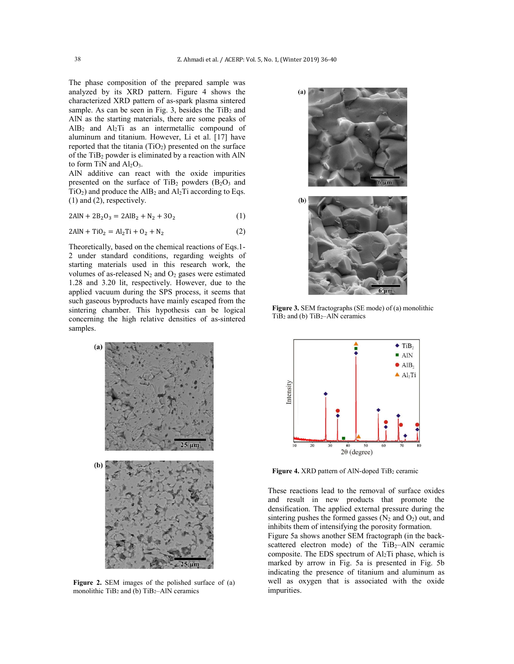The phase composition of the prepared sample was analyzed by its XRD pattern. Figure 4 shows the characterized XRD pattern of as-spark plasma sintered sample. As can be seen in Fig. 3, besides the  $TiB<sub>2</sub>$  and AlN as the starting materials, there are some peaks of  $AlB<sub>2</sub>$  and  $Al<sub>2</sub>Ti$  as an intermetallic compound of aluminum and titanium. However, Li et al. [17] have reported that the titania  $(TiO<sub>2</sub>)$  presented on the surface of the TiB2 powder is eliminated by a reaction with AlN to form TiN and  $Al_2O_3$ .

AlN additive can react with the oxide impurities presented on the surface of  $TiB<sub>2</sub>$  powders  $(B<sub>2</sub>O<sub>3</sub>$  and  $TiO<sub>2</sub>$ ) and produce the AlB<sub>2</sub> and Al<sub>2</sub>Ti according to Eqs. (1) and (2), respectively.

$$
2AlN + 2B_2O_3 = 2AlB_2 + N_2 + 3O_2
$$
 (1)

$$
2AlN + TiO2 = Al2 Ti + O2 + N2
$$
 (2)

Theoretically, based on the chemical reactions of Eqs.1- 2 under standard conditions, regarding weights of starting materials used in this research work, the volumes of as-released  $N_2$  and  $O_2$  gases were estimated 1.28 and 3.20 lit, respectively. However, due to the applied vacuum during the SPS process, it seems that such gaseous byproducts have mainly escaped from the sintering chamber. This hypothesis can be logical concerning the high relative densities of as-sintered samples.



**Figure 2.** SEM images of the polished surface of (a) monolithic TiB<sub>2</sub> and (b) TiB<sub>2</sub>-AlN ceramics





**Figure 3.** SEM fractographs (SE mode) of (a) monolithic TiB<sub>2</sub> and (b) TiB<sub>2</sub>-AlN ceramics



Figure 4. XRD pattern of AlN-doped TiB<sub>2</sub> ceramic

These reactions lead to the removal of surface oxides and result in new products that promote the densification. The applied external pressure during the sintering pushes the formed gasses  $(N_2 \text{ and } O_2)$  out, and inhibits them of intensifying the porosity formation.

Figure 5a shows another SEM fractograph (in the backscattered electron mode) of the  $TiB<sub>2</sub>–AIN$  ceramic composite. The EDS spectrum of Al2Ti phase, which is marked by arrow in Fig. 5a is presented in Fig. 5b indicating the presence of titanium and aluminum as well as oxygen that is associated with the oxide impurities.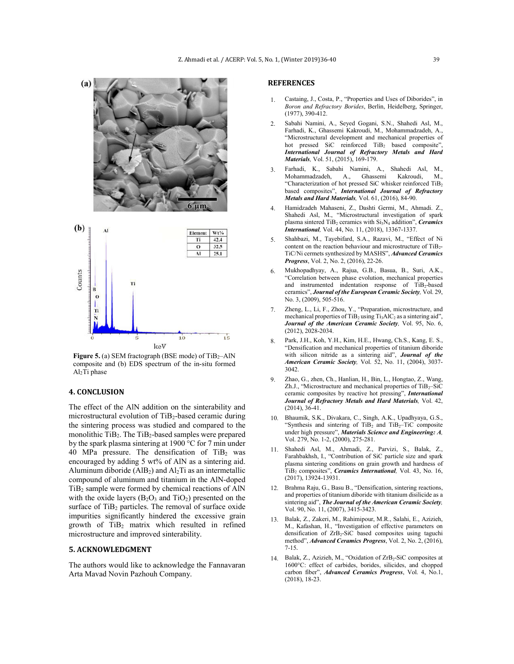

**Figure 5.** (a) SEM fractograph (BSE mode) of TiB<sub>2</sub>-AlN composite and (b) EDS spectrum of the in-situ formed Al2Ti phase

#### **4. CONCLUSION**

The effect of the AlN addition on the sinterability and microstructural evolution of TiB2-based ceramic during the sintering process was studied and compared to the monolithic TiB2. The TiB2-based samples were prepared by the spark plasma sintering at 1900 °C for 7 min under 40 MPa pressure. The densification of  $TiB<sub>2</sub>$  was encouraged by adding 5 wt% of AlN as a sintering aid. Aluminum diboride  $(AlB<sub>2</sub>)$  and  $Al<sub>2</sub>Ti$  as an intermetallic compound of aluminum and titanium in the AlN-doped TiB2 sample were formed by chemical reactions of AlN with the oxide layers  $(B_2O_3$  and  $TiO_2)$  presented on the surface of  $TiB<sub>2</sub>$  particles. The removal of surface oxide impurities significantly hindered the excessive grain growth of TiB2 matrix which resulted in refined microstructure and improved sinterability.

#### **5. ACKNOWLEDGMENT**

The authors would like to acknowledge the Fannavaran Arta Mavad Novin Pazhouh Company.

### **REFERENCES**

- 1. Castaing, J., Costa, P., "Properties and Uses of Diborides", in *Boron and Refractory Borides*, Berlin, Heidelberg, Springer, (1977), 390-412.
- 2. Sabahi Namini, A., Seyed Gogani, S.N., Shahedi Asl, M., Farhadi, K., Ghassemi Kakroudi, M., Mohammadzadeh, A., "Microstructural development and mechanical properties of hot pressed SiC reinforced TiB<sub>2</sub> based composite", *International Journal of Refractory Metals and Hard Materials,* Vol. 51, (2015), 169-179.
- 3. Farhadi, K., Sabahi Namini, A., Shahedi Asl, M., A., Ghassemi Kakroudi, M., "Characterization of hot pressed SiC whisker reinforced TiB2 based composites", *International Journal of Refractory Metals and Hard Materials,* Vol. 61, (2016), 84-90.
- 4. Hamidzadeh Mahaseni, Z., Dashti Germi, M., Ahmadi. Z., Shahedi Asl, M., "Microstructural investigation of spark plasma sintered TiB2 ceramics with Si3N4 addition", *Ceramics International,* Vol. 44, No. 11, (2018), 13367-1337.
- 5. Shahbazi, M., Tayebifard, S.A., Razavi, M., "Effect of Ni content on the reaction behaviour and microstructure of TiB<sub>2</sub>-TiC/Ni cermets synthesized by MASHS", *Advanced Ceramics Progress*, Vol. 2, No. 2, (2016), 22-26.
- 6. Mukhopadhyay, A., Rajua, G.B., Basua, B., Suri, A.K., "Correlation between phase evolution, mechanical properties and instrumented indentation response of TiB<sub>2</sub>-based ceramics", *Journal of the European Ceramic Society,* Vol. 29, No. 3, (2009), 505-516.
- 7. Zheng, L., Li, F., Zhou, Y., "Preparation, microstructure, and mechanical properties of  $TiB<sub>2</sub>$  using  $Ti<sub>3</sub>AIC<sub>2</sub>$  as a sintering aid", *Journal of the American Ceramic Society,* Vol. 95, No. 6, (2012), 2028-2034.
- 8. Park, J.H., Koh, Y.H., Kim, H.E., Hwang, Ch.S., Kang, E. S., "Densification and mechanical properties of titanium diboride with silicon nitride as a sintering aid", *Journal of the American Ceramic Society,* Vol. 52, No. 11, (2004), 3037- 3042.
- 9. Zhao, G., zhen, Ch., Hanlian, H., Bin, L., Hongtao, Z., Wang, Zh.J., "Microstructure and mechanical properties of  $TiB<sub>2</sub>$ -SiC ceramic composites by reactive hot pressing", *International Journal of Refractory Metals and Hard Materials,* Vol. 42,  $(2014)$ , 36-41.
- 10. Bhaumik, S.K., Divakara, C., Singh, A.K., Upadhyaya, G.S., "Synthesis and sintering of  $TiB<sub>2</sub>$  and  $TiB<sub>2</sub>$ -TiC composite under high pressure", *Materials Science and Engineering: A,*  Vol. 279, No. 1-2, (2000), 275-281.
- 11. Shahedi Asl, M., Ahmadi, Z., Parvizi, S., Balak, Z., Farahbakhsh, I., "Contribution of SiC particle size and spark plasma sintering conditions on grain growth and hardness of TiB2 composites", *Ceramics International,* Vol. 43, No. 16, (2017), 13924-13931.
- 12. Brahma Raju, G., Basu B., "Densification, sintering reactions, and properties of titanium diboride with titanium disilicide as a sintering aid", *The Journal of the American Ceramic Society,*  Vol. 90, No. 11, (2007), 3415-3423.
- 13. Balak, Z., Zakeri, M., Rahimipour, M.R., Salahi, E., Azizieh, M., Kafashan, H., "Investigation of effective parameters on densification of ZrB<sub>2</sub>-SiC based composites using taguchi method", *Advanced Ceramics Progress*, Vol. 2, No. 2, (2016), 7-15.
- 14. Balak, Z., Azizieh, M., "Oxidation of ZrB<sub>2</sub>-SiC composites at 1600°C: effect of carbides, borides, silicides, and chopped carbon fiber", *Advanced Ceramics Progress*, Vol. 4, No.1, (2018), 18-23.